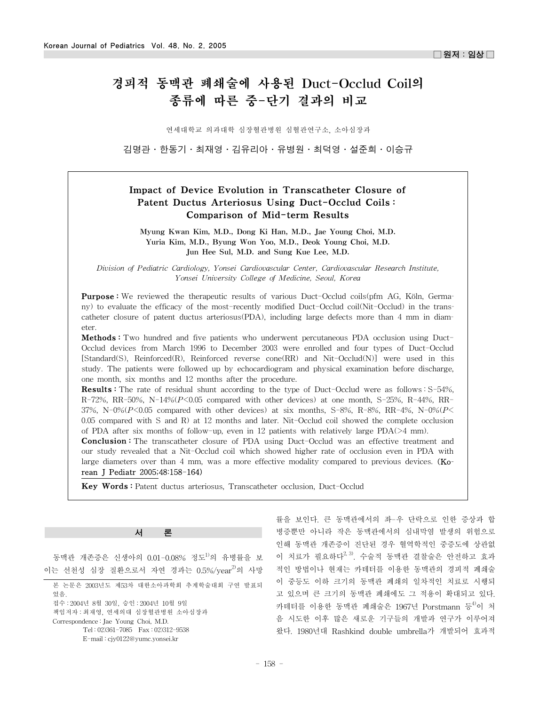# 경피적 동맥관 폐쇄술에 사용된 Duct-Occlud Coil의 종류에 따른 중-단기 결과의 비교

연세대학교 의과대학 심장혈관병원 심혈관연구소, 소아심장과

김명관·한동기·최재영·김유리아·유병원·최덕영·설준희·이승규

# Impact of Device Evolution in Transcatheter Closure of Patent Ductus Arteriosus Using Duct-Occlud Coils : Comparison of Mid-term Results

Myung Kwan Kim, M.D., Dong Ki Han, M.D., Jae Young Choi, M.D. Yuria Kim, M.D., Byung Won Yoo, M.D., Deok Young Choi, M.D. Jun Hee Sul, M.D. and Sung Kue Lee, M.D.

*Division of Pediatric Cardiology, Yonsei Cardiovascular Center, Cardiovascular Research Institute, Yonsei University College of Medicine, Seoul, Korea*

**Purpose:** We reviewed the therapeutic results of various Duct-Occlud coils(pfm AG, Köln, Germany) to evaluate the efficacy of the most-recently modified Duct-Occlud coil(Nit-Occlud) in the transcatheter closure of patent ductus arteriosus(PDA), including large defects more than 4 mm in diameter.

**Methods**: Two hundred and five patients who underwent percutaneous PDA occlusion using Duct-Occlud devices from March 1996 to December 2003 were enrolled and four types of Duct-Occlud [Standard(S), Reinforced(R), Reinforced reverse cone(RR) and Nit-Occlud(N)] were used in this study. The patients were followed up by echocardiogram and physical examination before discharge, one month, six months and 12 months after the procedure.

Results : The rate of residual shunt according to the type of Duct-Occlud were as follows : S-54%, R-72%, RR-50%, N-14%(*P*<0.05 compared with other devices) at one month, S-25%, R-44%, RR-37%, N-0% $(P<0.05$  compared with other devices) at six months, S-8%, R-8%, RR-4%, N-0% $(P<$ 0.05 compared with S and R) at 12 months and later. Nit-Occlud coil showed the complete occlusion of PDA after six months of follow-up, even in 12 patients with relatively large PDA(>4 mm).

**Conclusion :** The transcatheter closure of PDA using Duct-Occlud was an effective treatment and our study revealed that a Nit-Occlud coil which showed higher rate of occlusion even in PDA with large diameters over than 4 mm, was a more effective modality compared to previous devices. (Korean J Pediatr 2005;48:158-164)

Key Words : Patent ductus arteriosus, Transcatheter occlusion, Duct-Occlud

# 서 론

동맥관 개존증은 신생아의 0.01-0.08% 정도1)의 유병률을 보 이는 선천성 심장 질환으로서 자연 경과는 0.5%/vear<sup>2)</sup>의 사망

률을 보인다. 큰 동맥관에서의 좌-우 단락으로 인한 증상과 합 병증뿐만 아니라 작은 동맥관에서의 심내막염 발생의 위험으로 인해 동맥관 개존증이 진단된 경우 혈역학적인 중증도에 상관없 이 치료가 필요하다<sup>2, 3)</sup>. 수술적 동맥관 결찰술은 안전하고 효과 적인 방법이나 현재는 카테터를 이용한 동맥관의 경피적 폐쇄술 이 중등도 이하 크기의 동맥관 폐쇄의 일차적인 치료로 시행되 고 있으며 큰 크기의 동맥관 폐쇄에도 그 적용이 확대되고 있다. 카테터를 이용한 동맥관 폐쇄술은 1967년 Porstmann 등 $^{40}$ 이 처 음 시도한 이후 많은 새로운 기구들의 개발과 연구가 이루어져 왔다. 1980년대 Rashkind double umbrella가 개발되어 효과적

본 논문은 2003년도 제53차 대한소아과학회 추계학술대회 구연 발표되 었음.

접수 : 2004년 8월 30일, 승인 : 2004년 10월 9일

책임저자 : 최재영, 연세의대 심장혈관병원 소아심장과

Correspondence : Jae Young Choi, M.D.

Tel : 02)361-7085 Fax : 02)312-9538

E-mail : cjy0122@yumc.yonsei.kr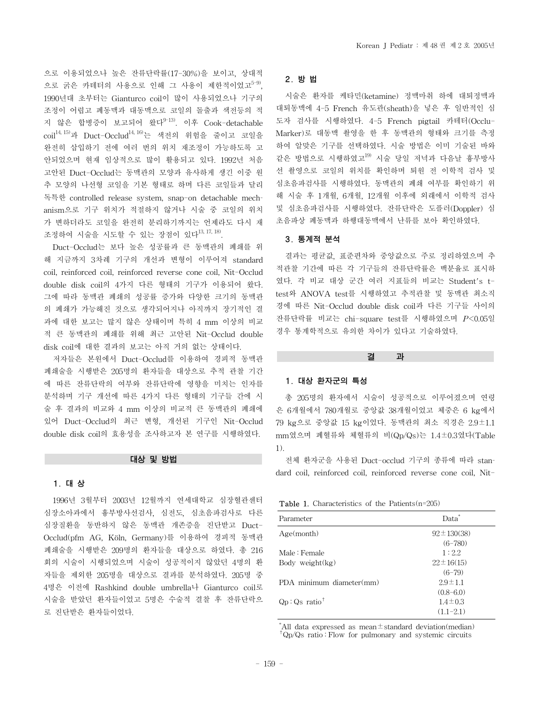으로 이용되었으나 높은 잔류단락률(17-30%)을 보이고, 상대적 으로 굵은 카테터의 사용으로 인해 그 사용이 제한적이었고<sup>5-9)</sup>. 1990년대 초부터는 Gianturco coil이 많이 사용되었으나 기구의 조정이 어렵고 폐동맥과 대동맥으로 코일의 돌출과 색전등의 적 지 않은 합병증이 보고되어 왔다<sup>9-13)</sup>. 이후 Cook-detachable  $\text{coil}^{14, 15}$ 과 Duct-Occlud<sup>14, 16</sup>)는 색전의 위험을 줄이고 코일을 완전히 삽입하기 전에 여러 번의 위치 재조정이 가능하도록 고 안되었으며 현재 임상적으로 많이 활용되고 있다. 1992년 처음 고안된 Duct-Occlud는 동맥관의 모양과 유사하게 생긴 이중 원 추 모양의 나선형 코일을 기본 형태로 하며 다른 코일들과 달리 독특한 controlled release system, snap-on detachable mechanism으로 기구 위치가 적절하지 않거나 시술 중 코일의 위치 가 변하더라도 코일을 완전히 분리하기까지는 언제라도 다시 재 조정하여 시술을 시도할 수 있는 장점이 있다13, 17, 18).

Duct-Occlud는 보다 높은 성공률과 큰 동맥관의 폐쇄를 위 해 지금까지 3차례 기구의 개선과 변형이 이루어져 standard coil, reinforced coil, reinforced reverse cone coil, Nit-Occlud double disk coil의 4가지 다른 형태의 기구가 이용되어 왔다. 그에 따라 동맥관 폐쇄의 성공률 증가와 다양한 크기의 동맥관 의 폐쇄가 가능해진 것으로 생각되어지나 아직까지 장기적인 결 과에 대한 보고는 많지 않은 상태이며 특히 4 mm 이상의 비교 적 큰 동맥관의 폐쇄를 위해 최근 고안된 Nit-Occlud double disk coil에 대한 결과의 보고는 아직 거의 없는 상태이다.

저자들은 본원에서 Duct-Occlud를 이용하여 경피적 동맥관 폐쇄술을 시행받은 205명의 환자들을 대상으로 추적 관찰 기간 에 따른 잔류단락의 여부와 잔류단락에 영향을 미치는 인자를 분석하며 기구 개선에 따른 4가지 다른 형태의 기구들 간에 시 술 후 결과의 비교와 4 mm 이상의 비교적 큰 동맥관의 폐쇄에 있어 Duct-Occlud의 최근 변형, 개선된 기구인 Nit-Occlud double disk coil의 효용성을 조사하고자 본 연구를 시행하였다.

# 대상 및 방법

# 1. 대 상

1996년 3월부터 2003년 12월까지 연세대학교 심장혈관센터 심장소아과에서 흉부방사선검사, 심전도, 심초음파검사로 다른 심장질환을 동반하지 않은 동맥관 개존증을 진단받고 Duct-Occlud(pfm AG, Köln, Germany)를 이용하여 경피적 동맥관 폐쇄술을 시행받은 209명의 환자들을 대상으로 하였다. 총 216 회의 시술이 시행되었으며 시술이 성공적이지 않았던 4명의 환 자들을 제외한 205명을 대상으로 결과를 분석하였다. 205명 중 4명은 이전에 Rashkind double umbrella나 Gianturco coil로 시술을 받았던 환자들이었고 5명은 수술적 결찰 후 잔류단락으 로 진단받은 환자들이었다.

# 2. 방 법

시술은 환자를 케타민(ketamine) 정맥마취 하에 대퇴정맥과 대퇴동맥에 4-5 French 유도관(sheath)을 넣은 후 일반적인 심 도자 검사를 시행하였다. 4-5 French pigtail 카테터(Occlu-Marker)로 대동맥 촬영을 한 후 동맥관의 형태와 크기를 측정 하여 알맞은 기구를 선택하였다. 시술 방법은 이미 기술된 바와 같은 방법으로 시행하였고<sup>19)</sup> 시술 당일 저녁과 다음날 흉부방사 선 촬영으로 코일의 위치를 확인하며 퇴원 전 이학적 검사 및 심초음파검사를 시행하였다. 동맥관의 폐쇄 여부를 확인하기 위 해 시술 후 1개월, 6개월, 12개월 이후에 외래에서 이학적 검사 및 심초음파검사를 시행하였다. 잔류단락은 도플러(Doppler) 심 초음파상 폐동맥과 하행대동맥에서 난류를 보아 확인하였다.

# 3. 통계적 분석

결과는 평균값, 표준편차와 중앙값으로 주로 정리하였으며 추 적관찰 기간에 따른 각 기구들의 잔류단락률은 백분율로 표시하 였다. 각 비교 대상 군간 여러 지표들의 비교는 Student's ttest와 ANOVA test를 시행하였고 추적관찰 및 동맥관 최소직 경에 따른 Nit-Occlud double disk coil과 다른 기구들 사이의 잔류단락률 비교는 chi-square test를 시행하였으며 *P*<0.05일 경우 통계학적으로 유의한 차이가 있다고 기술하였다.

#### 결 과

#### 1. 대상 환자군의 특성

총 205명의 환자에서 시술이 성공적으로 이루어졌으며 연령 은 6개월에서 780개월로 중앙값 38개월이었고 체중은 6 kg에서 79 kg으로 중앙값 15 kg이었다. 동맥관의 최소 직경은 2.9±1.1 mm였으며 폐혈류와 체혈류의 비(Qp/Qs)는 1.4±0.3였다(Table 1).

전체 환자군을 사용된 Duct-occlud 기구의 종류에 따라 standard coil, reinforced coil, reinforced reverse cone coil, Nit-

# Table 1. Characteristics of the Patients(n=205)

| Parameter                  | Data <sup>*</sup> |
|----------------------------|-------------------|
| Age(month)                 | $92 \pm 130(38)$  |
|                            | $(6 - 780)$       |
| Male: Female               | 1:2.2             |
| Body weight $(kg)$         | $22 \pm 16(15)$   |
|                            | $(6-79)$          |
| PDA minimum diameter(mm)   | $2.9 \pm 1.1$     |
|                            | $(0.8 - 6.0)$     |
| $Qp:Qs$ ratio <sup>†</sup> | $1.4 \pm 0.3$     |
|                            | $(1.1 - 2.1)$     |

\* All data expressed as mean $\pm$ standard deviation(median) †Qp/Qs ratio : Flow for pulmonary and systemic circuits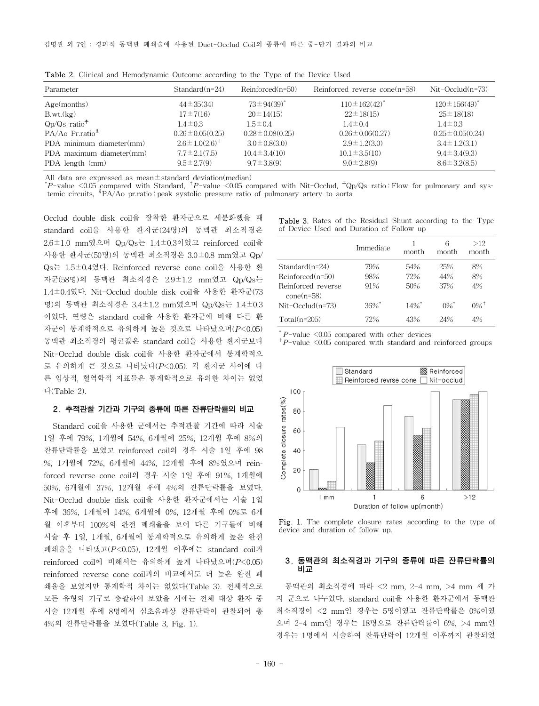| Parameter                      | $Standard(n=24)$       | $Reinforced(n=50)$    | Reinforced reverse cone $(n=58)$ | $Nit$ -Occlud $(n=73)$ |
|--------------------------------|------------------------|-----------------------|----------------------------------|------------------------|
| Age(months)                    | $44 \pm 35(34)$        | $73 \pm 94(39)^*$     | $110 \pm 162(42)^*$              | $120 \pm 156(49)^{*}$  |
| B.wt.(kg)                      | $17 \pm 7(16)$         | $20 \pm 14(15)$       | $22 \pm 18(15)$                  | $25 \pm 18(18)$        |
| $Qp/Qs$ ratio <sup>+</sup>     | $1.4 \pm 0.3$          | $1.5 \pm 0.4$         | $1.4 \pm 0.4$                    | $1.4 \pm 0.3$          |
| $PA/Ao\ Pr.ratio$ <sup>§</sup> | $0.26 \pm 0.05(0.25)$  | $0.28 \pm 0.08(0.25)$ | $0.26 \pm 0.06(0.27)$            | $0.25 \pm 0.05(0.24)$  |
| PDA minimum diameter(mm)       | $2.6 \pm 1.0(2.6)^{+}$ | $3.0 \pm 0.8(3.0)$    | $2.9 \pm 1.2(3.0)$               | $3.4 \pm 1.2(3.1)$     |
| PDA maximum diameter(mm)       | $7.7 \pm 2.1(7.5)$     | $10.4 \pm 3.4(10)$    | $10.1 \pm 3.5(10)$               | $9.4 \pm 3.4(9.3)$     |
| PDA length (mm)                | $9.5 \pm 2.7(9)$       | $9.7 \pm 3.8(9)$      | $9.0 \pm 2.8(9)$                 | $8.6 \pm 3.2(8.5)$     |

Table 2. Clinical and Hemodynamic Outcome according to the Type of the Device Used

All data are expressed as mean $\pm$ standard deviation(median)

\* *P*-value <0.05 compared with Standard, †*P*-value <0.05 compared with Nit-Occlud, ☨Qp/Qs ratio : Flow for pulmonary and systemic circuits, §PA/Ao pr.ratio : peak systolic pressure ratio of pulmonary artery to aorta

Occlud double disk coil을 장착한 환자군으로 세분화했을 때 standard coil을 사용한 환자군(24명)의 동맥관 최소직경은 2.6±1.0 mm였으며 Qp/Qs는 1.4±0.3이었고 reinforced coil을 사용한 환자군(50명)의 동맥관 최소직경은 3.0±0.8 mm였고 Qp/ Qs는 1.5±0.4였다. Reinforced reverse cone coil을 사용한 환 자군(58명)의 동맥관 최소직경은 2.9±1.2 mm였고 Qp/Qs는 1.4±0.4였다. Nit-Occlud double disk coil을 사용한 환자군(73 명)의 동맥관 최소직경은 3.4±1.2 mm였으며 Qp/Qs는 1.4±0.3 이었다. 연령은 standard coil을 사용한 환자군에 비해 다른 환 자군이 통계학적으로 유의하게 높은 것으로 나타났으며(*P*<0.05) 동맥관 최소직경의 평균값은 standard coil을 사용한 환자군보다 Nit-Occlud double disk coil을 사용한 환자군에서 통계학적으 로 유의하게 큰 것으로 나타났다(*P*<0.05). 각 환자군 사이에 다 른 임상적, 혈역학적 지표들은 통계학적으로 유의한 차이는 없었 다(Table 2).

#### 2. 추적관찰 기간과 기구의 종류에 따른 잔류단락률의 비교

Standard coil을 사용한 군에서는 추적관찰 기간에 따라 시술 1일 후에 79%, 1개월에 54%, 6개월에 25%, 12개월 후에 8%의 잔류단락률을 보였고 reinforced coil의 경우 시술 1일 후에 98 %, 1개월에 72%, 6개월에 44%, 12개월 후에 8%였으며 reinforced reverse cone coil의 경우 시술 1일 후에 91%, 1개월에 50%, 6개월에 37%, 12개월 후에 4%의 잔류단락률을 보였다. Nit-Occlud double disk coil을 사용한 환자군에서는 시술 1일 후에 36%, 1개월에 14%, 6개월에 0%, 12개월 후에 0%로 6개 월 이후부터 100%의 완전 폐쇄율을 보여 다른 기구들에 비해 시술 후 1일, 1개월, 6개월에 통계학적으로 유의하게 높은 완전 폐쇄율을 나타냈고(*P*<0.05), 12개월 이후에는 standard coil과 reinforced coil에 비해서는 유의하게 높게 나타났으며(*P*<0.05) reinforced reverse cone coil과의 비교에서도 더 높은 완전 폐 쇄율을 보였지만 통계학적 차이는 없었다(Table 3). 전체적으로 모든 유형의 기구로 총괄하여 보았을 시에는 전체 대상 환자 중 시술 12개월 후에 8명에서 심초음파상 잔류단락이 관찰되어 총 4%의 잔류단락률을 보였다(Table 3, Fig. 1).

Table 3. Rates of the Residual Shunt according to the Type of Device Used and Duration of Follow up

|                                    | Immediate | month  | 6<br>month         | >12<br>month       |
|------------------------------------|-----------|--------|--------------------|--------------------|
| $Standard(n=24)$                   | 79%       | 54%    | 25%                | 8%                 |
| $Reinforced(n=50)$                 | 98%       | 72%    | 44%                | 8%                 |
| Reinforced reverse<br>$cone(n=58)$ | 91%       | 50%    | 37%                | 4%                 |
| $Nit$ -Occlud $(n=73)$             | $36\%$    | $14\%$ | $0\%$ <sup>*</sup> | $0\%$ <sup>+</sup> |
| $Total(n=205)$                     | 72%       | 43%    | 24%                | 4%                 |

\* *<sup>P</sup>*-value <0.05 compared with other devices †*P*-value <0.05 compared with standard and reinforced groups



Fig. 1. The complete closure rates according to the type of device and duration of follow up.

#### 3. 동맥관의 최소직경과 기구의 종류에 따른 잔류단락률의 비교

동맥관의 최소직경에 따라 <2 mm, 2-4 mm, >4 mm 세 가 지 군으로 나누었다. standard coil을 사용한 환자군에서 동맥관 최소직경이 <2 mm인 경우는 5명이였고 잔류단락률은 0%이였 으며 2-4 mm인 경우는 18명으로 잔류단락률이 6%, >4 mm인 경우는 1명에서 시술하여 잔류단락이 12개월 이후까지 관찰되었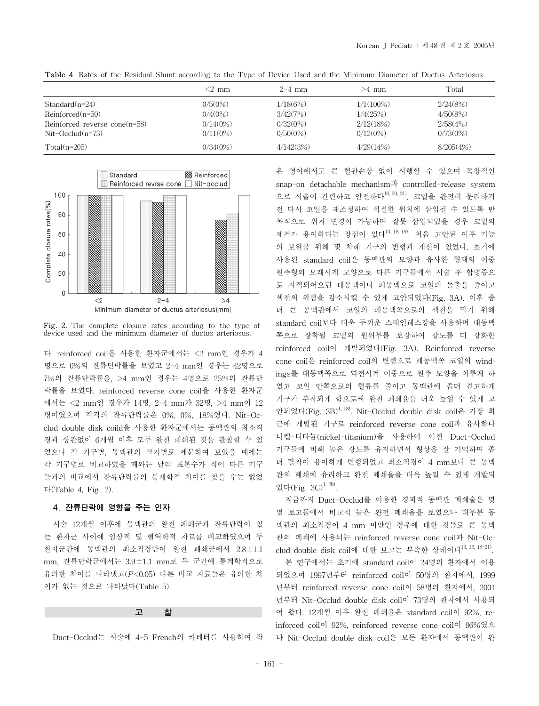|                                 | $<$ 2 mm   | $2 - 4$ mm  | >4 mm        | Total       |
|---------------------------------|------------|-------------|--------------|-------------|
| $Standard(n=24)$                | $0/5(0\%)$ | 1/18(6%)    | $1/1(100\%)$ | 2/24(8%)    |
| $Reinforced(n=50)$              | 0/4(0%)    | 3/42(7%)    | 1/4(25%)     | 4/50(8%)    |
| Reinforced reverse $cone(n=58)$ | 0/14(0%)   | 0/32(0%)    | 2/12(18%)    | 2/58(4%)    |
| $Nit$ -Occlud $(n=73)$          | 0/11(0%)   | $0/50(0\%)$ | 0/12(0%)     | $0/73(0\%)$ |
| $Total(n=205)$                  | 0/34(0%)   | 4/142(3%)   | 4/29(14%)    | 8/205(4%)   |

Table 4. Rates of the Residual Shunt according to the Type of Device Used and the Minimum Diameter of Ductus Arteriosus



Fig. 2. The complete closure rates according to the type of device used and the minimum diameter of ductus arteriosus.

다. reinforced coil을 사용한 환자군에서는 <2 mm인 경우가 4 명으로 0%의 잔류단락률을 보였고 2-4 mm인 경우는 42명으로 7%의 잔류단락률을, >4 mm인 경우는 4명으로 25%의 잔류단 락률을 보였다. reinforced reverse cone coil을 사용한 환자군 에서는 <2 mm인 경우가 14명, 2-4 mm가 32명, >4 mm이 12 명이였으며 각각의 잔류단락률은 0%, 0%, 18%였다. Nit-Occlud double disk coild을 사용한 환자군에서는 동맥관의 최소직 경과 상관없이 6개월 이후 모두 완전 폐쇄된 것을 관찰할 수 있 었으나 각 기구별, 동맥관의 크기별로 세분하여 보았을 때에는 각 기구별로 비교하였을 때와는 달리 표본수가 적어 다른 기구 들과의 비교에서 잔류단락률의 통계학적 차이를 찾을 수는 없었 다(Table 4, Fig. 2).

# 4. 잔류단락에 영향을 주는 인자

시술 12개월 이후에 동맥관의 완전 폐쇄군과 잔류단락이 있 는 환자군 사이에 임상적 및 혈역학적 자료를 비교하였으며 두 환자군간에 동맥관의 최소직경만이 완전 폐쇄군에서 2.8±1.1 mm, 잔류단락군에서는 3.9±1.1 mm로 두 군간에 통계학적으로 유의한 차이를 나타냈고(*P*<0.05) 다른 비교 자료들은 유의한 차 이가 없는 것으로 나타났다(Table 5).

#### 고 찰

Duct-Occlud는 시술에 4-5 French의 카테터를 사용하여 작

은 영아에서도 큰 혈관손상 없이 시행할 수 있으며 독창적인 snap-on detachable mechanism과 controlled-release system 으로 시술이 간편하고 안전하다<sup>18, 20, 21)</sup>. 코일을 완전히 분리하기 전 다시 코일을 재조정하여 적절한 위치에 삽입될 수 있도록 반 복적으로 위치 변경이 가능하며 잘못 삽입되었을 경우 코일의 제거가 용이하다는 장점이 있다<sup>13, 18, 19</sup>. 처음 고안된 이후 기능 의 보완을 위해 몇 차례 기구의 변형과 개선이 있었다. 초기에 사용된 standard coil은 동맥관의 모양과 유사한 형태의 이중 원추형의 모래시계 모양으로 다른 기구들에서 시술 후 합병증으 로 지적되어오던 대동맥이나 폐동맥으로 코일의 돌출을 줄이고 색전의 위험을 감소시킬 수 있게 고안되었다(Fig. 3A). 이후 좀 더 큰 동맥관에서 코일의 폐동맥쪽으로의 색전을 막기 위해 standard coil보다 더욱 두꺼운 스테인레스강을 사용하며 대동맥 쪽으로 장착될 코일의 원위부를 보강하여 강도를 더 강화한 reinforced coil이 개발되었다(Fig. 3A). Reinforced reverse cone coil은 reinforced coil의 변형으로 폐동맥쪽 코일의 windings를 대동맥쪽으로 역전시켜 이중으로 원추 모양을 이루게 하 였고 코일 안쪽으로의 혈류를 줄이고 동맥관에 좀더 견고하게 기구가 부착되게 함으로써 완전 폐쇄율을 더욱 높일 수 있게 고 안되었다(Fig. 3B)1, 18). Nit-Occlud double disk coil은 가장 최 근에 개발된 기구로 reinforced reverse cone coil과 유사하나 니켈-티타늄(nickel-titanium)을 사용하여 이전 Duct-Occlud 기구들에 비해 높은 강도를 유지하면서 형상을 잘 기억하며 좀 더 탈착이 용이하게 변형되었고 최소직경이 4 mm보다 큰 동맥 관의 폐쇄에 유리하고 완전 폐쇄율을 더욱 높일 수 있게 개발되 었다(Fig.  $3C$ )<sup>1, 20)</sup>.

지금까지 Duct-Occlud를 이용한 경피적 동맥관 폐쇄술은 몇 몇 보고들에서 비교적 높은 완전 폐쇄율을 보였으나 대부분 동 맥관의 최소직경이 4 mm 미만인 경우에 대한 것들로 큰 동맥 관의 폐쇄에 사용되는 reinforced reverse cone coil과 Nit-Occlud double disk coil에 대한 보고는 부족한 상태이다13, 16, 18-21).

본 연구에서는 초기에 standard coil이 24명의 환자에서 이용 되었으며 1997년부터 reinforced coil이 50명의 환자에서, 1999 년부터 reinforced reverse cone coil이 58명의 환자에서, 2001 년부터 Nit-Occlud double disk coil이 73명의 환자에서 사용되 어 왔다. 12개월 이후 완전 폐쇄율은 standard coil이 92%, reinforced coil이 92%, reinforced reverse cone coil이 96%였으 나 Nit-Occlud double disk coil은 모든 환자에서 동맥관이 완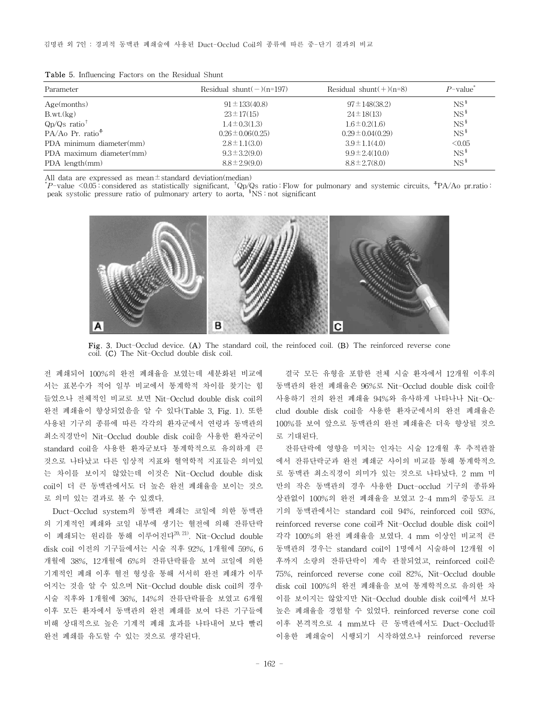|  |  | <b>Table 5.</b> Influencing Factors on the Residual Shunt |  |  |  |  |  |
|--|--|-----------------------------------------------------------|--|--|--|--|--|
|--|--|-----------------------------------------------------------|--|--|--|--|--|

| Parameter                  | Residual shunt $(-)(n=197)$ | Residual shunt $(+)(n=8)$ | $P$ -value <sup>*</sup> |
|----------------------------|-----------------------------|---------------------------|-------------------------|
| Age(months)                | $91 \pm 133(40.8)$          | $97 \pm 148(38.2)$        | $NS^{\frac{8}{3}}$      |
| B.wt.(kg)                  | $23 \pm 17(15)$             | $24 \pm 18(13)$           | $NS^{\frac{8}{3}}$      |
| $Qp/Qs$ ratio <sup>†</sup> | $1.4 \pm 0.3(1.3)$          | $1.6 \pm 0.2(1.6)$        | $NS^{\frac{8}{3}}$      |
| $PA/Ao\ Pr. ratio+$        | $0.26 \pm 0.06(0.25)$       | $0.29 \pm 0.04(0.29)$     | $NS^{\frac{5}{3}}$      |
| PDA minimum diameter(mm)   | $2.8 \pm 1.1(3.0)$          | $3.9 \pm 1.1(4.0)$        | < 0.05                  |
| PDA maximum diameter(mm)   | $9.3 \pm 3.2(9.0)$          | $9.9 \pm 2.4(10.0)$       | $NS^{\frac{8}{3}}$      |
| $PDA$ length $(mm)$        | $8.8 \pm 2.9(9.0)$          | $8.8 \pm 2.7(8.0)$        | $NS^{\frac{8}{3}}$      |

All data are expressed as mean $\pm$ standard deviation(median)

\* *P*-value <0.05 : considered as statistically significant, †Qp/Qs ratio : Flow for pulmonary and systemic circuits, ☨PA/Ao pr.ratio : peak systolic pressure ratio of pulmonary artery to aorta, §NS : not significant



Fig. 3. Duct-Occlud device. (A) The standard coil, the reinfoced coil. (B) The reinforced reverse cone coil. (C) The Nit-Occlud double disk coil.

전 폐쇄되어 100%의 완전 폐쇄율을 보였는데 세분화된 비교에 서는 표본수가 적어 일부 비교에서 통계학적 차이를 찾기는 힘 들었으나 전체적인 비교로 보면 Nit-Occlud double disk coil의 완전 폐쇄율이 향상되었음을 알 수 있다(Table 3, Fig. 1). 또한 사용된 기구의 종류에 따른 각각의 환자군에서 연령과 동맥관의 최소직경만이 Nit-Occlud double disk coil을 사용한 환자군이 standard coil을 사용한 환자군보다 통계학적으로 유의하게 큰 것으로 나타났고 다른 임상적 지표와 혈역학적 지표들은 의미있 는 차이를 보이지 않았는데 이것은 Nit-Occlud double disk coil이 더 큰 동맥관에서도 더 높은 완전 폐쇄율을 보이는 것으 로 의미 있는 결과로 볼 수 있겠다.

Duct-Occlud system의 동맥관 폐쇄는 코일에 의한 동맥관 의 기계적인 폐쇄와 코일 내부에 생기는 혈전에 의해 잔류단락 이 폐쇄되는 원리를 통해 이루어진다 $^{20, 21}$ . Nit-Occlud double disk coil 이전의 기구들에서는 시술 직후 92%, 1개월에 59%, 6 개월에 38%, 12개월에 6%의 잔류단락률을 보여 코일에 의한 기계적인 폐쇄 이후 혈전 형성을 통해 서서히 완전 폐쇄가 이루 어지는 것을 알 수 있으며 Nit-Occlud double disk coil의 경우 시술 직후와 1개월에 36%, 14%의 잔류단락률을 보였고 6개월 이후 모든 환자에서 동맥관의 완전 폐쇄를 보여 다른 기구들에 비해 상대적으로 높은 기계적 폐쇄 효과를 나타내어 보다 빨리 완전 폐쇄를 유도할 수 있는 것으로 생각된다.

결국 모든 유형을 포함한 전체 시술 환자에서 12개월 이후의 동맥관의 완전 폐쇄율은 96%로 Nit-Occlud double disk coil을 사용하기 전의 완전 폐쇄율 94%와 유사하게 나타나나 Nit-Occlud double disk coil을 사용한 환자군에서의 완전 폐쇄율은 100%를 보여 앞으로 동맥관의 완전 폐쇄율은 더욱 향상될 것으 로 기대된다.

잔류단락에 영향을 미치는 인자는 시술 12개월 후 추적관찰 에서 잔류단락군과 완전 폐쇄군 사이의 비교를 통해 통계학적으 로 동맥관 최소직경이 의미가 있는 것으로 나타났다. 2 mm 미 만의 작은 동맥관의 경우 사용한 Duct-occlud 기구의 종류와 상관없이 100%의 완전 폐쇄율을 보였고 2-4 mm의 중등도 크 기의 동맥관에서는 standard coil 94%, reinforced coil 93%, reinforced reverse cone coil과 Nit-Occlud double disk coil이 각각 100%의 완전 폐쇄율을 보였다. 4 mm 이상인 비교적 큰 동맥관의 경우는 standard coil이 1명에서 시술하여 12개월 이 후까지 소량의 잔류단락이 계속 관찰되었고, reinforced coil은 75%, reinforced reverse cone coil 82%, Nit-Occlud double disk coil 100%의 완전 폐쇄율을 보여 통계학적으로 유의한 차 이를 보이지는 않았지만 Nit-Occlud double disk coil에서 보다 높은 폐쇄율을 경험할 수 있었다. reinforced reverse cone coil 이후 본격적으로 4 mm보다 큰 동맥관에서도 Duct-Occlud를 이용한 폐쇄술이 시행되기 시작하였으나 reinforced reverse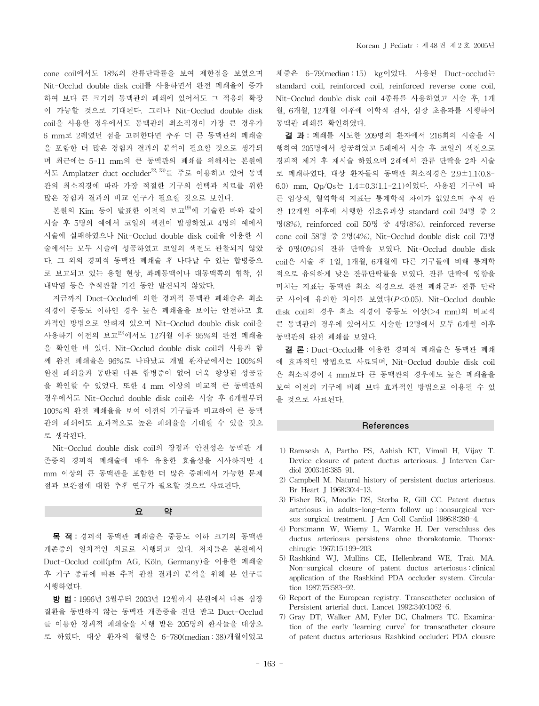cone coil에서도 18%의 잔류단락률을 보여 제한점을 보였으며 Nit-Occlud double disk coil를 사용하면서 완전 폐쇄율이 증가 하여 보다 큰 크기의 동맥관의 폐쇄에 있어서도 그 적응의 확장 이 가능할 것으로 기대된다. 그러나 Nit-Occlud double disk coil을 사용한 경우에서도 동맥관의 최소직경이 가장 큰 경우가 6 mm로 2례였던 점을 고려한다면 추후 더 큰 동맥관의 폐쇄술 을 포함한 더 많은 경험과 결과의 분석이 필요할 것으로 생각되 며 최근에는 5-11 mm의 큰 동맥관의 폐쇄를 위해서는 본원에 서도 Amplatzer duct occluder<sup>22, 23</sup>를 주로 이용하고 있어 동맥 관의 최소직경에 따라 가장 적절한 기구의 선택과 치료를 위한 많은 경험과 결과의 비교 연구가 필요할 것으로 보인다.

본원의 Kim 등이 발표한 이전의 보고<sup>19)</sup>에 기술한 바와 같이 시술 후 5명의 예에서 코일의 색전이 발생하였고 4명의 예에서 시술에 실패하였으나 Nit-Occlud double disk coil을 이용한 시 술에서는 모두 시술에 성공하였고 코일의 색전도 관찰되지 않았 다. 그 외의 경피적 동맥관 폐쇄술 후 나타날 수 있는 합병증으 로 보고되고 있는 용혈 현상, 좌폐동맥이나 대동맥쪽의 협착, 심 내막염 등은 추적관찰 기간 동안 발견되지 않았다.

지금까지 Duct-Occlud에 의한 경피적 동맥관 폐쇄술은 최소 직경이 중등도 이하인 경우 높은 폐쇄율을 보이는 안전하고 효 과적인 방법으로 알려져 있으며 Nit-Occlud double disk coil을 사용하기 이전의 보고19)에서도 12개월 이후 95%의 완전 폐쇄율 을 확인한 바 있다. Nit-Occlud double disk coil의 사용과 함 께 완전 폐쇄율은 96%로 나타났고 개별 환자군에서는 100%의 완전 폐쇄율과 동반된 다른 합병증이 없어 더욱 향상된 성공률 을 확인할 수 있었다. 또한 4 mm 이상의 비교적 큰 동맥관의 경우에서도 Nit-Occlud double disk coil은 시술 후 6개월부터 100%의 완전 폐쇄율을 보여 이전의 기구들과 비교하여 큰 동맥 관의 폐쇄에도 효과적으로 높은 폐쇄율을 기대할 수 있을 것으 로 생각된다.

Nit-Occlud double disk coil의 장점과 안전성은 동맥관 개 존증의 경피적 폐쇄술에 매우 유용한 효율성을 시사하지만 4 mm 이상의 큰 동맥관을 포함한 더 많은 증례에서 가능한 문제 점과 보완점에 대한 추후 연구가 필요할 것으로 사료된다.

요 약

목 적: 경피적 동맥관 폐쇄술은 중등도 이하 크기의 동맥관 개존증의 일차적인 치료로 시행되고 있다. 저자들은 본원에서 Duct-Occlud coil(pfm AG, Köln, Germany)을 이용한 폐쇄술 후 기구 종류에 따른 추적 관찰 결과의 분석을 위해 본 연구를 시행하였다.

방 법: 1996년 3월부터 2003년 12월까지 본원에서 다른 심장 질환을 동반하지 않는 동맥관 개존증을 진단 받고 Duct-Occlud 를 이용한 경피적 폐쇄술을 시행 받은 205명의 환자들을 대상으 로 하였다. 대상 환자의 월령은 6-780(median : 38)개월이었고

체중은 6-79(median : 15) kg이었다. 사용된 Duct-occlud는 standard coil, reinforced coil, reinforced reverse cone coil, Nit-Occlud double disk coil 4종류를 사용하였고 시술 후, 1개 월, 6개월, 12개월 이후에 이학적 검사, 심장 초음파를 시행하여 동맥관 폐쇄를 확인하였다.

결 과: 폐쇄를 시도한 209명의 환자에서 216회의 시술을 시 행하여 205명에서 성공하였고 5례에서 시술 후 코일의 색전으로 경피적 제거 후 재시술 하였으며 2례에서 잔류 단락을 2차 시술 로 폐쇄하였다. 대상 환자들의 동맥관 최소직경은 2.9±1.1(0.8- 6.0) mm, Qp/Qs는 1.4±0.3(1.1-2.1)이었다. 사용된 기구에 따 른 임상적, 혈역학적 지표는 통계학적 차이가 없었으며 추적 관 찰 12개월 이후에 시행한 심초음파상 standard coil 24명 중 2 명(8%), reinforced coil 50명 중 4명(8%), reinforced reverse cone coil 58명 중 2명(4%), Nit-Occlud double disk coil 73명 중 0명(0%)의 잔류 단락을 보였다. Nit-Occlud double disk coil은 시술 후 1일, 1개월, 6개월에 다른 기구들에 비해 통계학 적으로 유의하게 낮은 잔류단락률을 보였다. 잔류 단락에 영향을 미치는 지표는 동맥관 최소 직경으로 완전 폐쇄군과 잔류 단락 군 사이에 유의한 차이를 보였다(*P*<0.05). Nit-Occlud double disk coil의 경우 최소 직경이 중등도 이상(>4 mm)의 비교적 큰 동맥관의 경우에 있어서도 시술한 12명에서 모두 6개월 이후 동맥관의 완전 폐쇄를 보였다.

결 론: Duct-Occlud를 이용한 경피적 폐쇄술은 동맥관 폐쇄 에 효과적인 방법으로 사료되며, Nit-Occlud double disk coil 은 최소직경이 4 mm보다 큰 동맥관의 경우에도 높은 폐쇄율을 보여 이전의 기구에 비해 보다 효과적인 방법으로 이용될 수 있 을 것으로 사료된다.

# References

- 1) Ramsesh A, Partho PS, Aahish KT, Vimail H, Vijay T. Device closure of patent ductus arteriosus. J Interven Cardiol 2003;16:385-91.
- 2) Campbell M. Natural history of persistent ductus arteriosus. Br Heart J 1968;30:4-13.
- 3) Fisher RG, Moodie DS, Sterba R, Gill CC. Patent ductus arteriosus in adults-long-term follow up : nonsurgical versus surgical treatment. J Am Coll Cardiol 1986;8:280-4.
- 4) Porstmann W, Wierny L, Warnke H. Der verschluss des ductus arteriosus persistens ohne thorakotomie. Thoraxchirugie 1967;15:199-203.
- 5) Rashkind WJ, Mullins CE, Hellenbrand WE, Trait MA. Non-surgical closure of patent ductus arteriosus : clinical application of the Rashkind PDA occluder system. Circulation 1987;75:583-92.
- 6) Report of the European registry. Transcatheter occlusion of Persistent arterial duct. Lancet 1992;340:1062-6.
- 7) Gray DT, Walker AM, Fyler DC, Chalmers TC. Examination of the early 'learning curve' for transcatheter closure of patent ductus arteriosus Rashkind occluder; PDA clousre